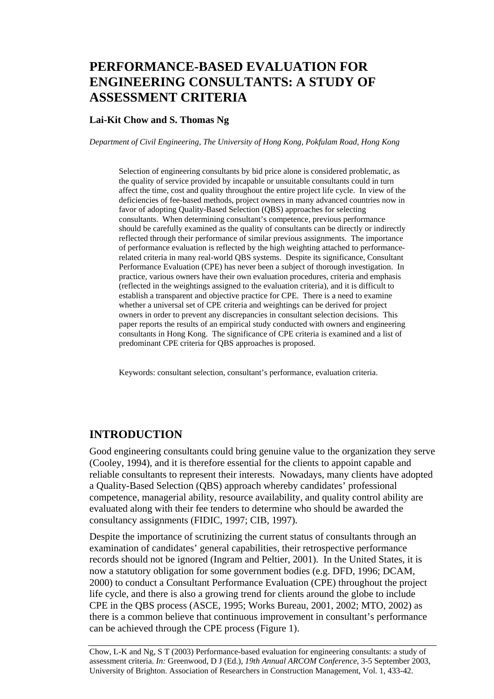# **PERFORMANCE-BASED EVALUATION FOR ENGINEERING CONSULTANTS: A STUDY OF ASSESSMENT CRITERIA**

#### **Lai-Kit Chow and S. Thomas Ng**

*Department of Civil Engineering, The University of Hong Kong, Pokfulam Road, Hong Kong* 

Selection of engineering consultants by bid price alone is considered problematic, as the quality of service provided by incapable or unsuitable consultants could in turn affect the time, cost and quality throughout the entire project life cycle. In view of the deficiencies of fee-based methods, project owners in many advanced countries now in favor of adopting Quality-Based Selection (QBS) approaches for selecting consultants. When determining consultant's competence, previous performance should be carefully examined as the quality of consultants can be directly or indirectly reflected through their performance of similar previous assignments. The importance of performance evaluation is reflected by the high weighting attached to performancerelated criteria in many real-world QBS systems. Despite its significance, Consultant Performance Evaluation (CPE) has never been a subject of thorough investigation. In practice, various owners have their own evaluation procedures, criteria and emphasis (reflected in the weightings assigned to the evaluation criteria), and it is difficult to establish a transparent and objective practice for CPE. There is a need to examine whether a universal set of CPE criteria and weightings can be derived for project owners in order to prevent any discrepancies in consultant selection decisions. This paper reports the results of an empirical study conducted with owners and engineering consultants in Hong Kong. The significance of CPE criteria is examined and a list of predominant CPE criteria for QBS approaches is proposed.

Keywords: consultant selection, consultant's performance, evaluation criteria.

### **INTRODUCTION**

Good engineering consultants could bring genuine value to the organization they serve (Cooley, 1994), and it is therefore essential for the clients to appoint capable and reliable consultants to represent their interests. Nowadays, many clients have adopted a Quality-Based Selection (QBS) approach whereby candidates' professional competence, managerial ability, resource availability, and quality control ability are evaluated along with their fee tenders to determine who should be awarded the consultancy assignments (FIDIC, 1997; CIB, 1997).

Despite the importance of scrutinizing the current status of consultants through an examination of candidates' general capabilities, their retrospective performance records should not be ignored (Ingram and Peltier, 2001). In the United States, it is now a statutory obligation for some government bodies (e.g. DFD, 1996; DCAM, 2000) to conduct a Consultant Performance Evaluation (CPE) throughout the project life cycle, and there is also a growing trend for clients around the globe to include CPE in the QBS process (ASCE, 1995; Works Bureau, 2001, 2002; MTO, 2002) as there is a common believe that continuous improvement in consultant's performance can be achieved through the CPE process (Figure 1).

Chow, L-K and Ng, S T (2003) Performance-based evaluation for engineering consultants: a study of assessment criteria. *In:* Greenwood, D J (Ed.), *19th Annual ARCOM Conference*, 3-5 September 2003, University of Brighton. Association of Researchers in Construction Management, Vol. 1, 433-42.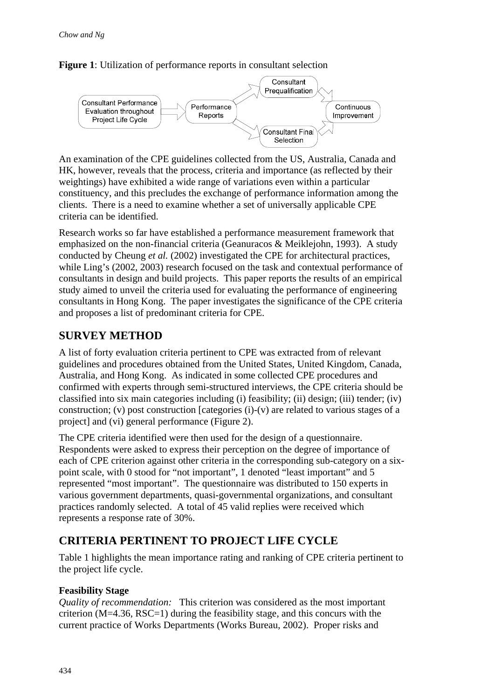



An examination of the CPE guidelines collected from the US, Australia, Canada and HK, however, reveals that the process, criteria and importance (as reflected by their weightings) have exhibited a wide range of variations even within a particular constituency, and this precludes the exchange of performance information among the clients. There is a need to examine whether a set of universally applicable CPE criteria can be identified.

Research works so far have established a performance measurement framework that emphasized on the non-financial criteria (Geanuracos & Meiklejohn, 1993). A study conducted by Cheung *et al.* (2002) investigated the CPE for architectural practices, while Ling's (2002, 2003) research focused on the task and contextual performance of consultants in design and build projects. This paper reports the results of an empirical study aimed to unveil the criteria used for evaluating the performance of engineering consultants in Hong Kong. The paper investigates the significance of the CPE criteria and proposes a list of predominant criteria for CPE.

## **SURVEY METHOD**

A list of forty evaluation criteria pertinent to CPE was extracted from of relevant guidelines and procedures obtained from the United States, United Kingdom, Canada, Australia, and Hong Kong. As indicated in some collected CPE procedures and confirmed with experts through semi-structured interviews, the CPE criteria should be classified into six main categories including (i) feasibility; (ii) design; (iii) tender; (iv) construction; (v) post construction [categories (i)-(v) are related to various stages of a project] and (vi) general performance (Figure 2).

The CPE criteria identified were then used for the design of a questionnaire. Respondents were asked to express their perception on the degree of importance of each of CPE criterion against other criteria in the corresponding sub-category on a sixpoint scale, with 0 stood for "not important", 1 denoted "least important" and 5 represented "most important". The questionnaire was distributed to 150 experts in various government departments, quasi-governmental organizations, and consultant practices randomly selected. A total of 45 valid replies were received which represents a response rate of 30%.

## **CRITERIA PERTINENT TO PROJECT LIFE CYCLE**

Table 1 highlights the mean importance rating and ranking of CPE criteria pertinent to the project life cycle.

## **Feasibility Stage**

*Quality of recommendation:* This criterion was considered as the most important criterion ( $M=4.36$ , RSC=1) during the feasibility stage, and this concurs with the current practice of Works Departments (Works Bureau, 2002). Proper risks and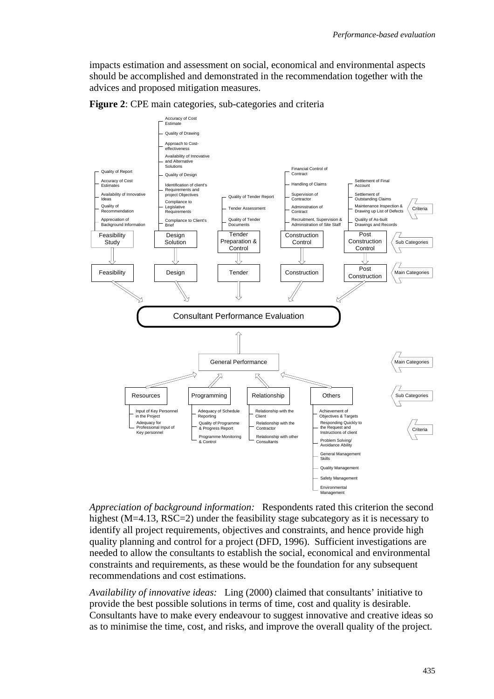impacts estimation and assessment on social, economical and environmental aspects should be accomplished and demonstrated in the recommendation together with the advices and proposed mitigation measures.



**Figure 2**: CPE main categories, sub-categories and criteria

*Appreciation of background information:* Respondents rated this criterion the second highest (M=4.13, RSC=2) under the feasibility stage subcategory as it is necessary to identify all project requirements, objectives and constraints, and hence provide high quality planning and control for a project (DFD, 1996). Sufficient investigations are needed to allow the consultants to establish the social, economical and environmental constraints and requirements, as these would be the foundation for any subsequent recommendations and cost estimations.

*Availability of innovative ideas:* Ling (2000) claimed that consultants' initiative to provide the best possible solutions in terms of time, cost and quality is desirable. Consultants have to make every endeavour to suggest innovative and creative ideas so as to minimise the time, cost, and risks, and improve the overall quality of the project.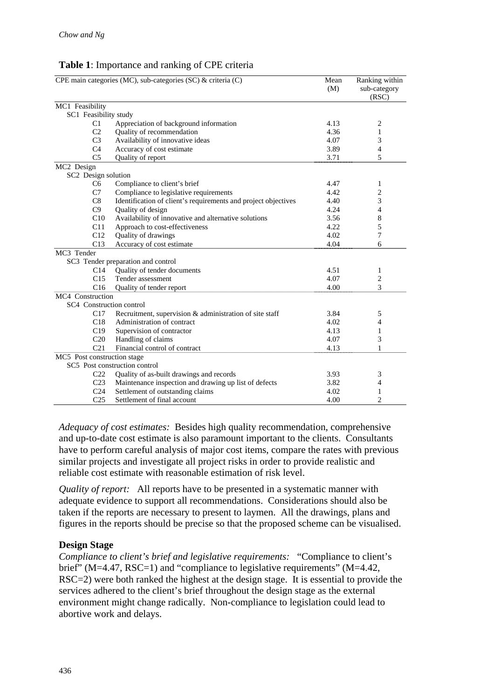### **Table 1**: Importance and ranking of CPE criteria

| CPE main categories (MC), sub-categories (SC) & criteria (C)             | Mean<br>(M) | Ranking within<br>sub-category<br>(RSC) |
|--------------------------------------------------------------------------|-------------|-----------------------------------------|
| MC1 Feasibility                                                          |             |                                         |
| SC1 Feasibility study                                                    |             |                                         |
| Appreciation of background information<br>C1                             | 4.13        | 2                                       |
| C <sub>2</sub><br>Quality of recommendation                              | 4.36        | 1                                       |
| C <sub>3</sub><br>Availability of innovative ideas                       | 4.07        | 3                                       |
| C <sub>4</sub><br>Accuracy of cost estimate                              | 3.89        | $\overline{4}$                          |
| C <sub>5</sub><br>Quality of report                                      | 3.71        | 5                                       |
| MC2 Design                                                               |             |                                         |
| SC2 Design solution                                                      |             |                                         |
| Compliance to client's brief<br>C <sub>6</sub>                           | 4.47        | 1                                       |
| C7<br>Compliance to legislative requirements                             | 4.42        | $\overline{c}$                          |
| C8<br>Identification of client's requirements and project objectives     | 4.40        | 3                                       |
| C9<br>Quality of design                                                  | 4.24        | 4                                       |
| C10<br>Availability of innovative and alternative solutions              | 3.56        | 8                                       |
| C11<br>Approach to cost-effectiveness                                    | 4.22        | 5                                       |
| C12<br>Quality of drawings                                               | 4.02        | 7                                       |
| C13<br>Accuracy of cost estimate                                         | 4.04        | 6                                       |
| MC3 Tender                                                               |             |                                         |
| SC3 Tender preparation and control                                       |             |                                         |
| Quality of tender documents<br>C14                                       | 4.51        | 1                                       |
| C15<br>Tender assessment                                                 | 4.07        | 2                                       |
| C16<br>Quality of tender report                                          | 4.00        | 3                                       |
| MC4 Construction                                                         |             |                                         |
| SC4 Construction control                                                 |             |                                         |
| Recruitment, supervision & administration of site staff<br>C17           | 3.84        | 5                                       |
| C18<br>Administration of contract                                        | 4.02        | 4                                       |
| C19<br>Supervision of contractor                                         | 4.13        | 1                                       |
| C <sub>20</sub><br>Handling of claims                                    | 4.07        | 3                                       |
| C <sub>21</sub><br>Financial control of contract                         | 4.13        | 1                                       |
| MC5 Post construction stage                                              |             |                                         |
| SC5 Post construction control                                            |             |                                         |
| Quality of as-built drawings and records<br>C <sub>22</sub>              | 3.93        | 3                                       |
| C <sub>23</sub><br>Maintenance inspection and drawing up list of defects | 3.82        | 4                                       |
| C <sub>24</sub><br>Settlement of outstanding claims                      | 4.02        | 1                                       |
| C <sub>25</sub><br>Settlement of final account                           | 4.00        | $\overline{c}$                          |

*Adequacy of cost estimates:* Besides high quality recommendation, comprehensive and up-to-date cost estimate is also paramount important to the clients. Consultants have to perform careful analysis of major cost items, compare the rates with previous similar projects and investigate all project risks in order to provide realistic and reliable cost estimate with reasonable estimation of risk level.

*Quality of report:* All reports have to be presented in a systematic manner with adequate evidence to support all recommendations. Considerations should also be taken if the reports are necessary to present to laymen. All the drawings, plans and figures in the reports should be precise so that the proposed scheme can be visualised.

#### **Design Stage**

*Compliance to client's brief and legislative requirements:* "Compliance to client's brief" (M=4.47, RSC=1) and "compliance to legislative requirements" (M=4.42, RSC=2) were both ranked the highest at the design stage. It is essential to provide the services adhered to the client's brief throughout the design stage as the external environment might change radically. Non-compliance to legislation could lead to abortive work and delays.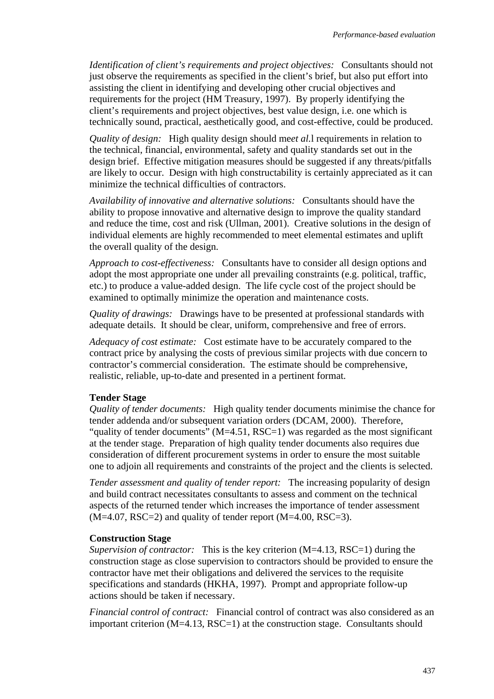*Identification of client's requirements and project objectives:* Consultants should not just observe the requirements as specified in the client's brief, but also put effort into assisting the client in identifying and developing other crucial objectives and requirements for the project (HM Treasury, 1997). By properly identifying the client's requirements and project objectives, best value design, i.e. one which is technically sound, practical, aesthetically good, and cost-effective, could be produced.

*Quality of design:* High quality design should me*et al.*l requirements in relation to the technical, financial, environmental, safety and quality standards set out in the design brief. Effective mitigation measures should be suggested if any threats/pitfalls are likely to occur. Design with high constructability is certainly appreciated as it can minimize the technical difficulties of contractors.

*Availability of innovative and alternative solutions:* Consultants should have the ability to propose innovative and alternative design to improve the quality standard and reduce the time, cost and risk (Ullman, 2001). Creative solutions in the design of individual elements are highly recommended to meet elemental estimates and uplift the overall quality of the design.

*Approach to cost-effectiveness:* Consultants have to consider all design options and adopt the most appropriate one under all prevailing constraints (e.g. political, traffic, etc.) to produce a value-added design. The life cycle cost of the project should be examined to optimally minimize the operation and maintenance costs.

*Quality of drawings:* Drawings have to be presented at professional standards with adequate details. It should be clear, uniform, comprehensive and free of errors.

*Adequacy of cost estimate:* Cost estimate have to be accurately compared to the contract price by analysing the costs of previous similar projects with due concern to contractor's commercial consideration. The estimate should be comprehensive, realistic, reliable, up-to-date and presented in a pertinent format.

#### **Tender Stage**

*Quality of tender documents:* High quality tender documents minimise the chance for tender addenda and/or subsequent variation orders (DCAM, 2000). Therefore, "quality of tender documents" (M=4.51, RSC=1) was regarded as the most significant at the tender stage. Preparation of high quality tender documents also requires due consideration of different procurement systems in order to ensure the most suitable one to adjoin all requirements and constraints of the project and the clients is selected.

*Tender assessment and quality of tender report:* The increasing popularity of design and build contract necessitates consultants to assess and comment on the technical aspects of the returned tender which increases the importance of tender assessment  $(M=4.07, RSC=2)$  and quality of tender report  $(M=4.00, RSC=3)$ .

#### **Construction Stage**

*Supervision of contractor:* This is the key criterion (M=4.13, RSC=1) during the construction stage as close supervision to contractors should be provided to ensure the contractor have met their obligations and delivered the services to the requisite specifications and standards (HKHA, 1997). Prompt and appropriate follow-up actions should be taken if necessary.

*Financial control of contract:* Financial control of contract was also considered as an important criterion (M=4.13, RSC=1) at the construction stage. Consultants should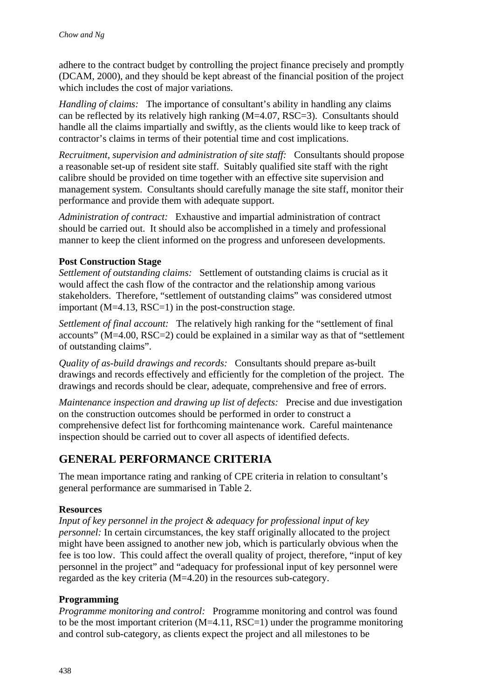adhere to the contract budget by controlling the project finance precisely and promptly (DCAM, 2000), and they should be kept abreast of the financial position of the project which includes the cost of major variations.

*Handling of claims:* The importance of consultant's ability in handling any claims can be reflected by its relatively high ranking (M=4.07, RSC=3). Consultants should handle all the claims impartially and swiftly, as the clients would like to keep track of contractor's claims in terms of their potential time and cost implications.

*Recruitment, supervision and administration of site staff:* Consultants should propose a reasonable set-up of resident site staff. Suitably qualified site staff with the right calibre should be provided on time together with an effective site supervision and management system. Consultants should carefully manage the site staff, monitor their performance and provide them with adequate support.

*Administration of contract:* Exhaustive and impartial administration of contract should be carried out. It should also be accomplished in a timely and professional manner to keep the client informed on the progress and unforeseen developments.

#### **Post Construction Stage**

*Settlement of outstanding claims:* Settlement of outstanding claims is crucial as it would affect the cash flow of the contractor and the relationship among various stakeholders. Therefore, "settlement of outstanding claims" was considered utmost important  $(M=4.13, RSC=1)$  in the post-construction stage.

*Settlement of final account:* The relatively high ranking for the "settlement of final accounts" (M=4.00, RSC=2) could be explained in a similar way as that of "settlement of outstanding claims".

*Quality of as-build drawings and records:* Consultants should prepare as-built drawings and records effectively and efficiently for the completion of the project. The drawings and records should be clear, adequate, comprehensive and free of errors.

*Maintenance inspection and drawing up list of defects:* Precise and due investigation on the construction outcomes should be performed in order to construct a comprehensive defect list for forthcoming maintenance work. Careful maintenance inspection should be carried out to cover all aspects of identified defects.

## **GENERAL PERFORMANCE CRITERIA**

The mean importance rating and ranking of CPE criteria in relation to consultant's general performance are summarised in Table 2.

#### **Resources**

*Input of key personnel in the project & adequacy for professional input of key personnel:* In certain circumstances, the key staff originally allocated to the project might have been assigned to another new job, which is particularly obvious when the fee is too low. This could affect the overall quality of project, therefore, "input of key personnel in the project" and "adequacy for professional input of key personnel were regarded as the key criteria (M=4.20) in the resources sub-category.

#### **Programming**

*Programme monitoring and control:* Programme monitoring and control was found to be the most important criterion  $(M=4.11, RSC=1)$  under the programme monitoring and control sub-category, as clients expect the project and all milestones to be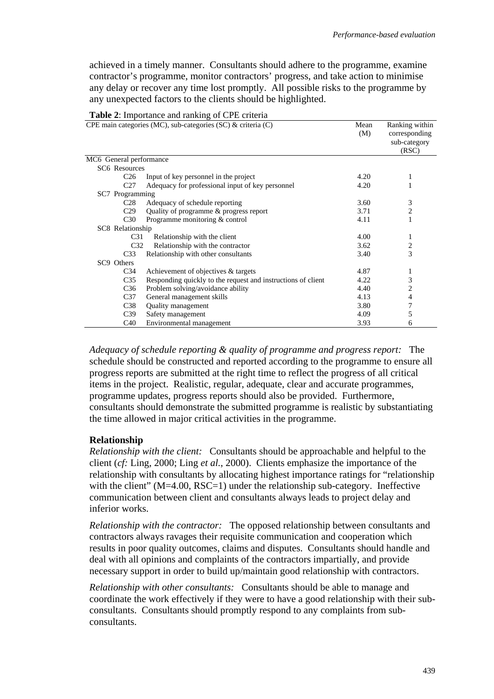achieved in a timely manner. Consultants should adhere to the programme, examine contractor's programme, monitor contractors' progress, and take action to minimise any delay or recover any time lost promptly. All possible risks to the programme by any unexpected factors to the clients should be highlighted.

|                         | CPE main categories (MC), sub-categories (SC) & criteria (C) | Mean<br>(M) | Ranking within<br>corresponding<br>sub-category<br>(RSC) |
|-------------------------|--------------------------------------------------------------|-------------|----------------------------------------------------------|
| MC6 General performance |                                                              |             |                                                          |
| <b>SC6</b> Resources    |                                                              |             |                                                          |
| C <sub>26</sub>         | Input of key personnel in the project                        | 4.20        | 1                                                        |
| C <sub>27</sub>         | Adequacy for professional input of key personnel             | 4.20        |                                                          |
| SC7 Programming         |                                                              |             |                                                          |
| C <sub>28</sub>         | Adequacy of schedule reporting                               | 3.60        | 3                                                        |
| C <sub>29</sub>         | Quality of programme & progress report                       | 3.71        | $\overline{c}$                                           |
| C <sub>30</sub>         | Programme monitoring & control                               | 4.11        | 1                                                        |
| SC8 Relationship        |                                                              |             |                                                          |
| C31                     | Relationship with the client                                 | 4.00        | 1                                                        |
| C <sub>32</sub>         | Relationship with the contractor                             | 3.62        | 2                                                        |
| C33                     | Relationship with other consultants                          | 3.40        | 3                                                        |
| SC9 Others              |                                                              |             |                                                          |
| C34                     | Achievement of objectives & targets                          | 4.87        | 1                                                        |
| C <sub>35</sub>         | Responding quickly to the request and instructions of client | 4.22        | 3                                                        |
| C <sub>36</sub>         | Problem solving/avoidance ability                            | 4.40        | 2                                                        |
| C37                     | General management skills                                    | 4.13        | 4                                                        |
| C <sub>38</sub>         | Quality management                                           | 3.80        | 7                                                        |
| C <sub>39</sub>         | Safety management                                            | 4.09        | 5                                                        |
| C40                     | Environmental management                                     | 3.93        | 6                                                        |

**Table 2**: Importance and ranking of CPE criteria

*Adequacy of schedule reporting & quality of programme and progress report:* The schedule should be constructed and reported according to the programme to ensure all progress reports are submitted at the right time to reflect the progress of all critical items in the project. Realistic, regular, adequate, clear and accurate programmes, programme updates, progress reports should also be provided. Furthermore, consultants should demonstrate the submitted programme is realistic by substantiating the time allowed in major critical activities in the programme.

#### **Relationship**

*Relationship with the client:* Consultants should be approachable and helpful to the client (*cf:* Ling, 2000; Ling *et al.*, 2000). Clients emphasize the importance of the relationship with consultants by allocating highest importance ratings for "relationship with the client"  $(M=4.00, RSC=1)$  under the relationship sub-category. Ineffective communication between client and consultants always leads to project delay and inferior works.

*Relationship with the contractor:* The opposed relationship between consultants and contractors always ravages their requisite communication and cooperation which results in poor quality outcomes, claims and disputes. Consultants should handle and deal with all opinions and complaints of the contractors impartially, and provide necessary support in order to build up/maintain good relationship with contractors.

*Relationship with other consultants:* Consultants should be able to manage and coordinate the work effectively if they were to have a good relationship with their subconsultants. Consultants should promptly respond to any complaints from subconsultants.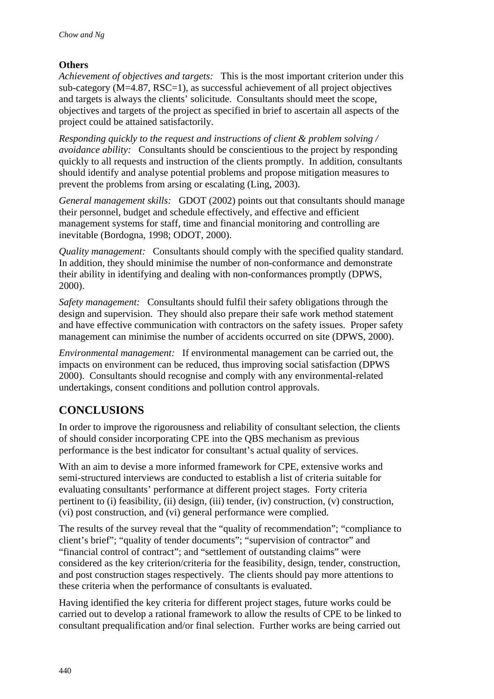### **Others**

*Achievement of objectives and targets:* This is the most important criterion under this sub-category  $(M=4.87, RSC=1)$ , as successful achievement of all project objectives and targets is always the clients' solicitude. Consultants should meet the scope, objectives and targets of the project as specified in brief to ascertain all aspects of the project could be attained satisfactorily.

*Responding quickly to the request and instructions of client & problem solving / avoidance ability:* Consultants should be conscientious to the project by responding quickly to all requests and instruction of the clients promptly. In addition, consultants should identify and analyse potential problems and propose mitigation measures to prevent the problems from arsing or escalating (Ling, 2003).

*General management skills:* GDOT (2002) points out that consultants should manage their personnel, budget and schedule effectively, and effective and efficient management systems for staff, time and financial monitoring and controlling are inevitable (Bordogna, 1998; ODOT, 2000).

*Quality management:* Consultants should comply with the specified quality standard. In addition, they should minimise the number of non-conformance and demonstrate their ability in identifying and dealing with non-conformances promptly (DPWS, 2000).

*Safety management:* Consultants should fulfil their safety obligations through the design and supervision. They should also prepare their safe work method statement and have effective communication with contractors on the safety issues. Proper safety management can minimise the number of accidents occurred on site (DPWS, 2000).

*Environmental management:* If environmental management can be carried out, the impacts on environment can be reduced, thus improving social satisfaction (DPWS 2000). Consultants should recognise and comply with any environmental-related undertakings, consent conditions and pollution control approvals.

## **CONCLUSIONS**

In order to improve the rigorousness and reliability of consultant selection, the clients of should consider incorporating CPE into the QBS mechanism as previous performance is the best indicator for consultant's actual quality of services.

With an aim to devise a more informed framework for CPE, extensive works and semi-structured interviews are conducted to establish a list of criteria suitable for evaluating consultants' performance at different project stages. Forty criteria pertinent to (i) feasibility, (ii) design, (iii) tender, (iv) construction, (v) construction, (vi) post construction, and (vi) general performance were complied.

The results of the survey reveal that the "quality of recommendation"; "compliance to client's brief"; "quality of tender documents"; "supervision of contractor" and "financial control of contract"; and "settlement of outstanding claims" were considered as the key criterion/criteria for the feasibility, design, tender, construction, and post construction stages respectively. The clients should pay more attentions to these criteria when the performance of consultants is evaluated.

Having identified the key criteria for different project stages, future works could be carried out to develop a rational framework to allow the results of CPE to be linked to consultant prequalification and/or final selection. Further works are being carried out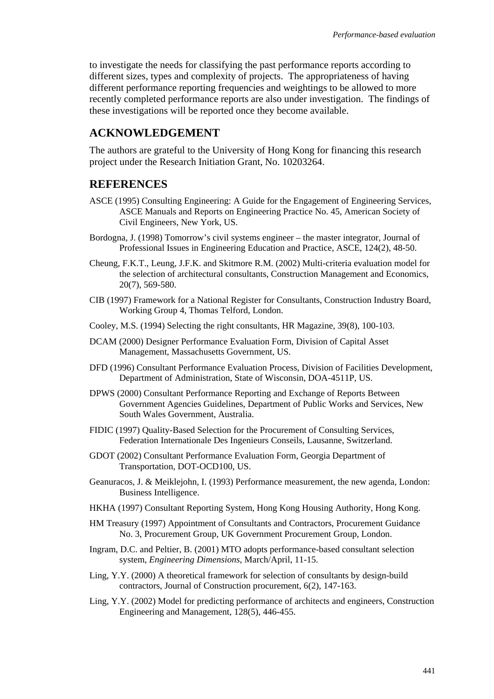to investigate the needs for classifying the past performance reports according to different sizes, types and complexity of projects. The appropriateness of having different performance reporting frequencies and weightings to be allowed to more recently completed performance reports are also under investigation. The findings of these investigations will be reported once they become available.

### **ACKNOWLEDGEMENT**

The authors are grateful to the University of Hong Kong for financing this research project under the Research Initiation Grant, No. 10203264.

#### **REFERENCES**

- ASCE (1995) Consulting Engineering: A Guide for the Engagement of Engineering Services, ASCE Manuals and Reports on Engineering Practice No. 45, American Society of Civil Engineers, New York, US.
- Bordogna, J. (1998) Tomorrow's civil systems engineer the master integrator, Journal of Professional Issues in Engineering Education and Practice, ASCE, 124(2), 48-50.
- Cheung, F.K.T., Leung, J.F.K. and Skitmore R.M. (2002) Multi-criteria evaluation model for the selection of architectural consultants, Construction Management and Economics, 20(7), 569-580.
- CIB (1997) Framework for a National Register for Consultants, Construction Industry Board, Working Group 4, Thomas Telford, London.
- Cooley, M.S. (1994) Selecting the right consultants, HR Magazine, 39(8), 100-103.
- DCAM (2000) Designer Performance Evaluation Form, Division of Capital Asset Management, Massachusetts Government, US.
- DFD (1996) Consultant Performance Evaluation Process, Division of Facilities Development, Department of Administration, State of Wisconsin, DOA-4511P, US.
- DPWS (2000) Consultant Performance Reporting and Exchange of Reports Between Government Agencies Guidelines, Department of Public Works and Services, New South Wales Government, Australia.
- FIDIC (1997) Quality-Based Selection for the Procurement of Consulting Services, Federation Internationale Des Ingenieurs Conseils, Lausanne, Switzerland.
- GDOT (2002) Consultant Performance Evaluation Form, Georgia Department of Transportation, DOT-OCD100, US.
- Geanuracos, J. & Meiklejohn, I. (1993) Performance measurement, the new agenda, London: Business Intelligence.
- HKHA (1997) Consultant Reporting System, Hong Kong Housing Authority, Hong Kong.
- HM Treasury (1997) Appointment of Consultants and Contractors, Procurement Guidance No. 3, Procurement Group, UK Government Procurement Group, London.
- Ingram, D.C. and Peltier, B. (2001) MTO adopts performance-based consultant selection system, *Engineering Dimensions*, March/April, 11-15.
- Ling, Y.Y. (2000) A theoretical framework for selection of consultants by design-build contractors, Journal of Construction procurement, 6(2), 147-163.
- Ling, Y.Y. (2002) Model for predicting performance of architects and engineers, Construction Engineering and Management, 128(5), 446-455.